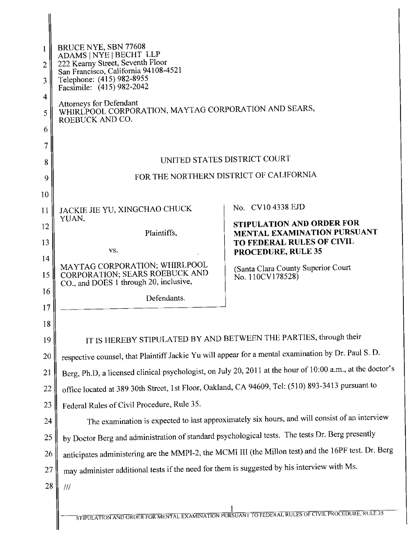| 1<br>$\overline{2}$<br>3<br>4<br>5<br>6 | BRUCE NYE, SBN 77608<br>ADAMS   NYE   BECHT LLP<br>222 Kearny Street, Seventh Floor<br>San Francisco, California 94108-4521<br>Telephone: (415) 982-8955<br>Facsimile: (415) 982-2042<br><b>Attorneys for Defendant</b><br>WHIRLPOOL CORPORATION, MAYTAG CORPORATION AND SEARS,<br>ROEBUCK AND CO. |                                                                                                      |
|-----------------------------------------|----------------------------------------------------------------------------------------------------------------------------------------------------------------------------------------------------------------------------------------------------------------------------------------------------|------------------------------------------------------------------------------------------------------|
| 7<br>8                                  | UNITED STATES DISTRICT COURT                                                                                                                                                                                                                                                                       |                                                                                                      |
| 9                                       | FOR THE NORTHERN DISTRICT OF CALIFORNIA                                                                                                                                                                                                                                                            |                                                                                                      |
| 10                                      |                                                                                                                                                                                                                                                                                                    |                                                                                                      |
| 11                                      | JACKIE JIE YU, XINGCHAO CHUCK                                                                                                                                                                                                                                                                      | No. CV10 4338 EJD                                                                                    |
| 12                                      | YUAN,<br>Plaintiffs,                                                                                                                                                                                                                                                                               | STIPULATION AND ORDER FOR<br>MENTAL EXAMINATION PURSUANT                                             |
| 13                                      | VS.                                                                                                                                                                                                                                                                                                | TO FEDERAL RULES OF CIVIL<br>PROCEDURE, RULE 35                                                      |
| 14                                      | MAYTAG CORPORATION; WHIRLPOOL                                                                                                                                                                                                                                                                      | (Santa Clara County Superior Court                                                                   |
| 15                                      | CORPORATION; SEARS ROEBUCK AND<br>CO., and DOES 1 through 20, inclusive,                                                                                                                                                                                                                           | No. 110CV178528)                                                                                     |
| 16                                      | Defendants.                                                                                                                                                                                                                                                                                        |                                                                                                      |
| 17                                      |                                                                                                                                                                                                                                                                                                    |                                                                                                      |
| 18<br>19                                | IT IS HEREBY STIPULATED BY AND BETWEEN THE PARTIES, through their                                                                                                                                                                                                                                  |                                                                                                      |
| 20                                      | respective counsel, that Plaintiff Jackie Yu will appear for a mental examination by Dr. Paul S. D.                                                                                                                                                                                                |                                                                                                      |
| 21                                      | Berg, Ph.D, a licensed clinical psychologist, on July 20, 2011 at the hour of 10:00 a.m., at the doctor's                                                                                                                                                                                          |                                                                                                      |
| 22                                      | office located at 389 30th Street, 1st Floor, Oakland, CA 94609, Tel: (510) 893-3413 pursuant to                                                                                                                                                                                                   |                                                                                                      |
| 23                                      | Federal Rules of Civil Procedure, Rule 35.                                                                                                                                                                                                                                                         |                                                                                                      |
| 24                                      | The examination is expected to last approximately six hours, and will consist of an interview                                                                                                                                                                                                      |                                                                                                      |
| 25                                      | by Doctor Berg and administration of standard psychological tests. The tests Dr. Berg presently                                                                                                                                                                                                    |                                                                                                      |
| 26                                      |                                                                                                                                                                                                                                                                                                    | anticipates administering are the MMPI-2, the MCMI III (the Millon test) and the 16PF test. Dr. Berg |
| 27                                      | may administer additional tests if the need for them is suggested by his interview with Ms.                                                                                                                                                                                                        |                                                                                                      |
| 28                                      | $^{\prime\prime\prime}$                                                                                                                                                                                                                                                                            |                                                                                                      |
|                                         |                                                                                                                                                                                                                                                                                                    | STIPULATION AND ORDER FOR MENTAL EXAMINATION PURSUANT TO FEDERAL RULES OF CIVIL PROCEDURE, RULE 35   |

 $\mid$